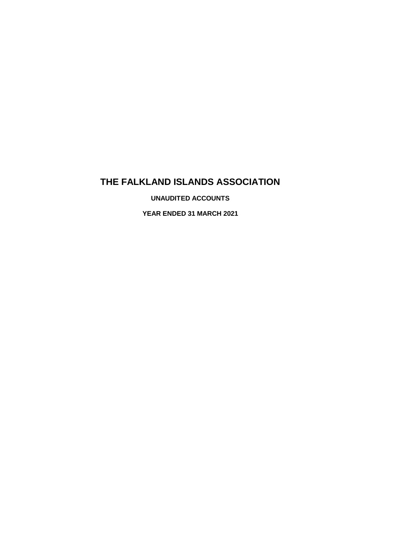# **THE FALKLAND ISLANDS ASSOCIATION**

**UNAUDITED ACCOUNTS**

**YEAR ENDED 31 MARCH 2021**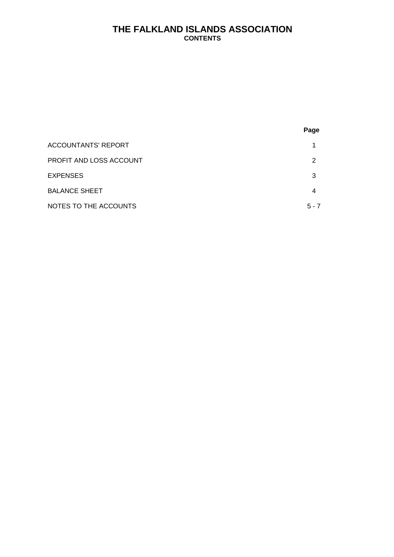# **THE FALKLAND ISLANDS ASSOCIATION CONTENTS**

|                                | Page    |
|--------------------------------|---------|
| <b>ACCOUNTANTS' REPORT</b>     | 1       |
| <b>PROFIT AND LOSS ACCOUNT</b> | 2       |
| <b>EXPENSES</b>                | 3       |
| <b>BALANCE SHEET</b>           | 4       |
| NOTES TO THE ACCOUNTS          | $5 - 7$ |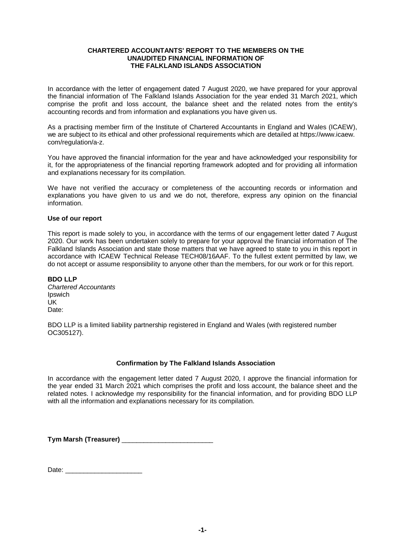#### **CHARTERED ACCOUNTANTS' REPORT TO THE MEMBERS ON THE UNAUDITED FINANCIAL INFORMATION OF THE FALKLAND ISLANDS ASSOCIATION**

In accordance with the letter of engagement dated 7 August 2020, we have prepared for your approval the financial information of The Falkland Islands Association for the year ended 31 March 2021, which comprise the profit and loss account, the balance sheet and the related notes from the entity's accounting records and from information and explanations you have given us.

As a practising member firm of the Institute of Chartered Accountants in England and Wales (ICAEW), we are subject to its ethical and other professional requirements which are detailed at https://www.icaew. com/regulation/a-z.

You have approved the financial information for the year and have acknowledged your responsibility for it, for the appropriateness of the financial reporting framework adopted and for providing all information and explanations necessary for its compilation.

We have not verified the accuracy or completeness of the accounting records or information and explanations you have given to us and we do not, therefore, express any opinion on the financial information.

#### **Use of our report**

This report is made solely to you, in accordance with the terms of our engagement letter dated 7 August 2020. Our work has been undertaken solely to prepare for your approval the financial information of The Falkland Islands Association and state those matters that we have agreed to state to you in this report in accordance with ICAEW Technical Release TECH08/16AAF. To the fullest extent permitted by law, we do not accept or assume responsibility to anyone other than the members, for our work or for this report.

**BDO LLP** *Chartered Accountants* Ipswich UK Date:

BDO LLP is a limited liability partnership registered in England and Wales (with registered number OC305127).

#### **Confirmation by The Falkland Islands Association**

In accordance with the engagement letter dated 7 August 2020, I approve the financial information for the year ended 31 March 2021 which comprises the profit and loss account, the balance sheet and the related notes. I acknowledge my responsibility for the financial information, and for providing BDO LLP with all the information and explanations necessary for its compilation.

**Tym Marsh (Treasurer) Letter Tym Marsh (Treasurer)** 

Date: \_\_\_\_\_\_\_\_\_\_\_\_\_\_\_\_\_\_\_\_\_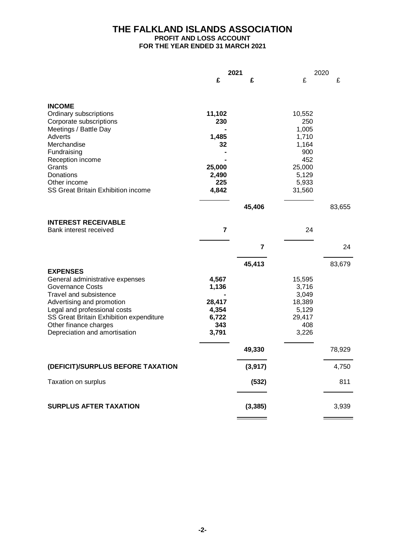# **THE FALKLAND ISLANDS ASSOCIATION**

# **PROFIT AND LOSS ACCOUNT**

**FOR THE YEAR ENDED 31 MARCH 2021**

|                                                           | 2021            |                         | 2020            |        |
|-----------------------------------------------------------|-----------------|-------------------------|-----------------|--------|
|                                                           | £               | £                       | £               | £      |
|                                                           |                 |                         |                 |        |
| <b>INCOME</b>                                             |                 |                         |                 |        |
| Ordinary subscriptions                                    | 11,102          |                         | 10,552          |        |
| Corporate subscriptions                                   | 230             |                         | 250             |        |
| Meetings / Battle Day                                     |                 |                         | 1,005           |        |
| Adverts<br>Merchandise                                    | 1,485           |                         | 1,710<br>1,164  |        |
| Fundraising                                               | 32              |                         | 900             |        |
| Reception income                                          |                 |                         | 452             |        |
| Grants                                                    | 25,000          |                         | 25,000          |        |
| Donations                                                 | 2,490           |                         | 5,129           |        |
| Other income                                              | 225             |                         | 5,933           |        |
| <b>SS Great Britain Exhibition income</b>                 | 4,842           |                         | 31,560          |        |
|                                                           |                 | 45,406                  |                 | 83,655 |
|                                                           |                 |                         |                 |        |
| <b>INTEREST RECEIVABLE</b>                                | $\overline{7}$  |                         | 24              |        |
| Bank interest received                                    |                 |                         |                 |        |
|                                                           |                 | $\overline{\mathbf{z}}$ |                 | 24     |
|                                                           |                 | 45,413                  |                 | 83,679 |
| <b>EXPENSES</b>                                           |                 |                         |                 |        |
| General administrative expenses                           | 4,567           |                         | 15,595          |        |
| <b>Governance Costs</b>                                   | 1,136           |                         | 3,716           |        |
| Travel and subsistence                                    |                 |                         | 3,049           |        |
| Advertising and promotion<br>Legal and professional costs | 28,417<br>4,354 |                         | 18,389<br>5,129 |        |
| SS Great Britain Exhibition expenditure                   | 6,722           |                         | 29,417          |        |
| Other finance charges                                     | 343             |                         | 408             |        |
| Depreciation and amortisation                             | 3,791           |                         | 3,226           |        |
|                                                           |                 | 49,330                  |                 | 78,929 |
|                                                           |                 |                         |                 |        |
| (DEFICIT)/SURPLUS BEFORE TAXATION                         |                 | (3, 917)                |                 | 4,750  |
| Taxation on surplus                                       |                 | (532)                   |                 | 811    |
| <b>SURPLUS AFTER TAXATION</b>                             |                 | (3, 385)                |                 | 3,939  |
|                                                           |                 |                         |                 |        |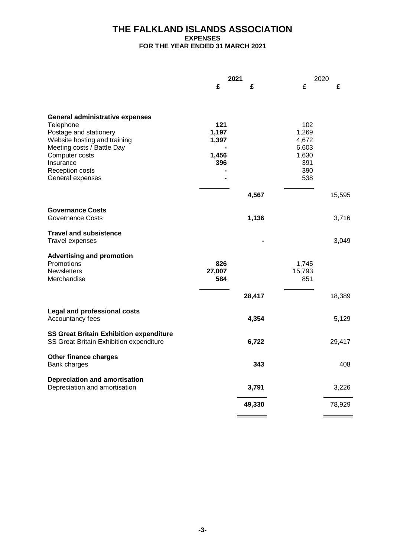# **THE FALKLAND ISLANDS ASSOCIATION EXPENSES FOR THE YEAR ENDED 31 MARCH 2021**

|                                                | 2021   |        |        | 2020   |  |
|------------------------------------------------|--------|--------|--------|--------|--|
|                                                | £      | £      | £      | £      |  |
|                                                |        |        |        |        |  |
| <b>General administrative expenses</b>         |        |        |        |        |  |
| Telephone                                      | 121    |        | 102    |        |  |
| Postage and stationery                         | 1,197  |        | 1,269  |        |  |
| Website hosting and training                   | 1,397  |        | 4,672  |        |  |
| Meeting costs / Battle Day                     |        |        | 6,603  |        |  |
| Computer costs                                 | 1,456  |        | 1,630  |        |  |
| Insurance                                      | 396    |        | 391    |        |  |
| Reception costs                                |        |        | 390    |        |  |
| General expenses                               |        |        | 538    |        |  |
|                                                |        | 4,567  |        | 15,595 |  |
|                                                |        |        |        |        |  |
| <b>Governance Costs</b>                        |        |        |        |        |  |
| <b>Governance Costs</b>                        |        | 1,136  |        | 3,716  |  |
| <b>Travel and subsistence</b>                  |        |        |        |        |  |
| Travel expenses                                |        |        |        | 3,049  |  |
| <b>Advertising and promotion</b>               |        |        |        |        |  |
| Promotions                                     | 826    |        | 1,745  |        |  |
| <b>Newsletters</b>                             | 27,007 |        | 15,793 |        |  |
| Merchandise                                    | 584    |        | 851    |        |  |
|                                                |        |        |        |        |  |
|                                                |        | 28,417 |        | 18,389 |  |
| <b>Legal and professional costs</b>            |        |        |        |        |  |
| Accountancy fees                               |        | 4,354  |        | 5,129  |  |
|                                                |        |        |        |        |  |
| <b>SS Great Britain Exhibition expenditure</b> |        |        |        |        |  |
| SS Great Britain Exhibition expenditure        |        | 6,722  |        | 29,417 |  |
| Other finance charges                          |        |        |        |        |  |
| Bank charges                                   |        | 343    |        | 408    |  |
| <b>Depreciation and amortisation</b>           |        |        |        |        |  |
| Depreciation and amortisation                  |        | 3,791  |        | 3,226  |  |
|                                                |        | 49,330 |        |        |  |
|                                                |        |        |        | 78,929 |  |
|                                                |        |        |        |        |  |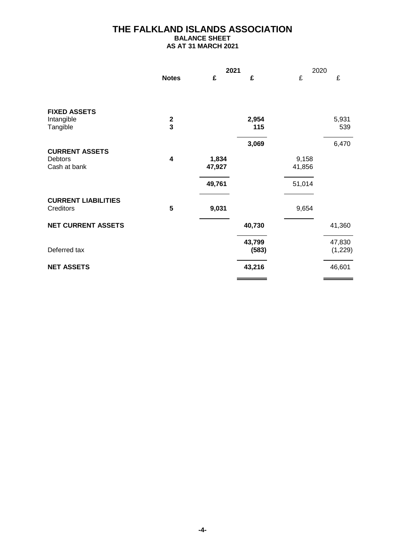# **THE FALKLAND ISLANDS ASSOCIATION BALANCE SHEET**

**AS AT 31 MARCH 2021**

|                            |                         | 2021   |        | 2020   |          |
|----------------------------|-------------------------|--------|--------|--------|----------|
|                            | <b>Notes</b>            | £      | £      | £      | £        |
|                            |                         |        |        |        |          |
| <b>FIXED ASSETS</b>        |                         |        |        |        |          |
| Intangible                 |                         |        | 2,954  |        | 5,931    |
| Tangible                   | $\frac{2}{3}$           |        | 115    |        | 539      |
|                            |                         |        | 3,069  |        | 6,470    |
| <b>CURRENT ASSETS</b>      |                         |        |        |        |          |
| Debtors                    | $\overline{\mathbf{4}}$ | 1,834  |        | 9,158  |          |
| Cash at bank               |                         | 47,927 |        | 41,856 |          |
|                            |                         |        |        |        |          |
|                            |                         | 49,761 |        | 51,014 |          |
|                            |                         |        |        |        |          |
| <b>CURRENT LIABILITIES</b> |                         |        |        |        |          |
| Creditors                  | 5                       | 9,031  |        | 9,654  |          |
| <b>NET CURRENT ASSETS</b>  |                         |        | 40,730 |        | 41,360   |
|                            |                         |        |        |        |          |
|                            |                         |        | 43,799 |        | 47,830   |
| Deferred tax               |                         |        | (583)  |        | (1, 229) |
|                            |                         |        |        |        |          |
| <b>NET ASSETS</b>          |                         |        | 43,216 |        | 46,601   |
|                            |                         |        |        |        |          |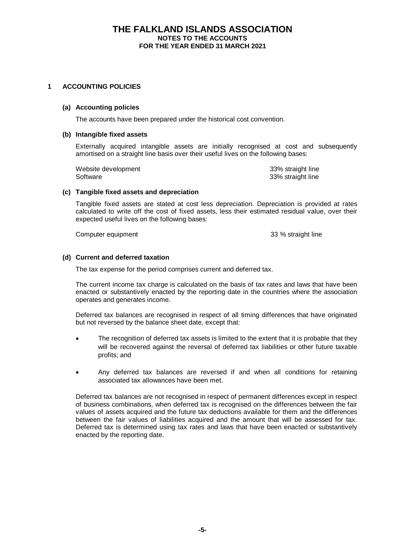# **THE FALKLAND ISLANDS ASSOCIATION NOTES TO THE ACCOUNTS FOR THE YEAR ENDED 31 MARCH 2021**

### **1 ACCOUNTING POLICIES**

#### **(a) Accounting policies**

The accounts have been prepared under the historical cost convention.

#### **(b) Intangible fixed assets**

Externally acquired intangible assets are initially recognised at cost and subsequently amortised on a straight line basis over their useful lives on the following bases:

Website development 33% straight line Software 33% straight line

#### **(c) Tangible fixed assets and depreciation**

Tangible fixed assets are stated at cost less depreciation. Depreciation is provided at rates calculated to write off the cost of fixed assets, less their estimated residual value, over their expected useful lives on the following bases:

Computer equipment **33 %** straight line

# **(d) Current and deferred taxation**

The tax expense for the period comprises current and deferred tax.

The current income tax charge is calculated on the basis of tax rates and laws that have been enacted or substantively enacted by the reporting date in the countries where the association operates and generates income.

Deferred tax balances are recognised in respect of all timing differences that have originated but not reversed by the balance sheet date, except that:

- The recognition of deferred tax assets is limited to the extent that it is probable that they will be recovered against the reversal of deferred tax liabilities or other future taxable profits; and
- Any deferred tax balances are reversed if and when all conditions for retaining associated tax allowances have been met.

Deferred tax balances are not recognised in respect of permanent differences except in respect of business combinations, when deferred tax is recognised on the differences between the fair values of assets acquired and the future tax deductions available for them and the differences between the fair values of liabilities acquired and the amount that will be assessed for tax. Deferred tax is determined using tax rates and laws that have been enacted or substantively enacted by the reporting date.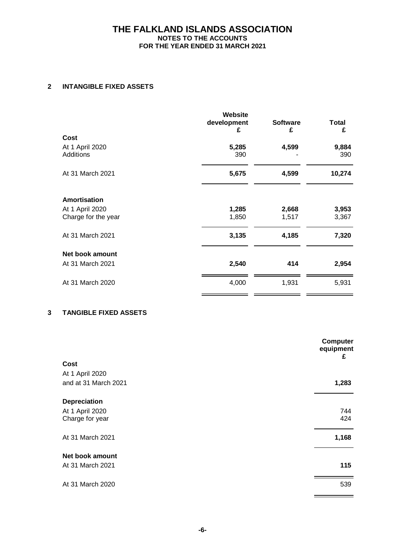# **THE FALKLAND ISLANDS ASSOCIATION NOTES TO THE ACCOUNTS FOR THE YEAR ENDED 31 MARCH 2021**

# **2 INTANGIBLE FIXED ASSETS**

|                                     | <b>Website</b><br>development<br>£ | <b>Software</b><br>£ | <b>Total</b><br>£ |
|-------------------------------------|------------------------------------|----------------------|-------------------|
| Cost                                |                                    |                      |                   |
| At 1 April 2020<br><b>Additions</b> | 5,285<br>390                       | 4,599                | 9,884<br>390      |
| At 31 March 2021                    | 5,675                              | 4,599                | 10,274            |
| <b>Amortisation</b>                 |                                    |                      |                   |
| At 1 April 2020                     | 1,285                              | 2,668                | 3,953             |
| Charge for the year                 | 1,850                              | 1,517                | 3,367             |
| At 31 March 2021                    | 3,135                              | 4,185                | 7,320             |
| Net book amount                     |                                    |                      |                   |
| At 31 March 2021                    | 2,540                              | 414                  | 2,954             |
| At 31 March 2020                    | 4,000                              | 1,931                | 5,931             |
|                                     |                                    |                      |                   |

# **3 TANGIBLE FIXED ASSETS**

|                      | <b>Computer</b><br>equipment<br>£ |
|----------------------|-----------------------------------|
| Cost                 |                                   |
| At 1 April 2020      |                                   |
| and at 31 March 2021 | 1,283                             |
| Depreciation         |                                   |
| At 1 April 2020      | 744                               |
| Charge for year      | 424                               |
| At 31 March 2021     | 1,168                             |
| Net book amount      |                                   |
| At 31 March 2021     | 115                               |
|                      |                                   |
| At 31 March 2020     | 539                               |
|                      |                                   |